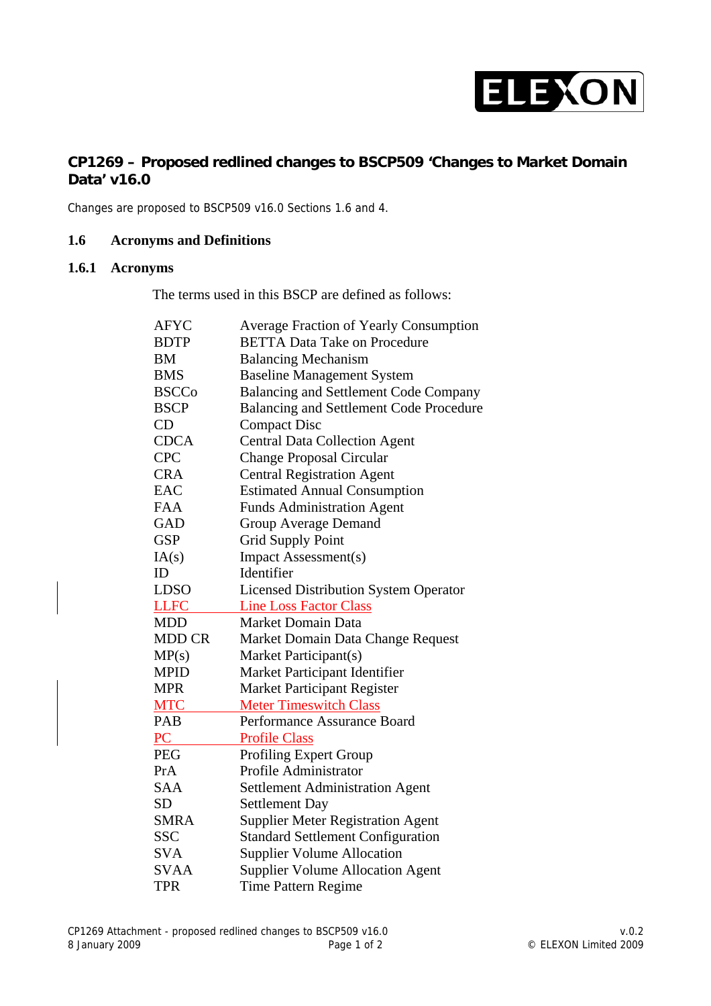

## **CP1269 – Proposed redlined changes to BSCP509 'Changes to Market Domain Data' v16.0**

Changes are proposed to BSCP509 v16.0 Sections 1.6 and 4.

#### **1.6 Acronyms and Definitions**

### **1.6.1 Acronyms**

The terms used in this BSCP are defined as follows:

| <b>AFYC</b>   | <b>Average Fraction of Yearly Consumption</b>  |  |  |
|---------------|------------------------------------------------|--|--|
| <b>BDTP</b>   | <b>BETTA Data Take on Procedure</b>            |  |  |
| <b>BM</b>     | <b>Balancing Mechanism</b>                     |  |  |
| <b>BMS</b>    | <b>Baseline Management System</b>              |  |  |
| <b>BSCCo</b>  | <b>Balancing and Settlement Code Company</b>   |  |  |
| <b>BSCP</b>   | <b>Balancing and Settlement Code Procedure</b> |  |  |
| CD            | <b>Compact Disc</b>                            |  |  |
| <b>CDCA</b>   | <b>Central Data Collection Agent</b>           |  |  |
| <b>CPC</b>    | <b>Change Proposal Circular</b>                |  |  |
| <b>CRA</b>    | <b>Central Registration Agent</b>              |  |  |
| <b>EAC</b>    | <b>Estimated Annual Consumption</b>            |  |  |
| <b>FAA</b>    | <b>Funds Administration Agent</b>              |  |  |
| GAD           | <b>Group Average Demand</b>                    |  |  |
| <b>GSP</b>    | <b>Grid Supply Point</b>                       |  |  |
| IA(s)         | Impact Assessment(s)                           |  |  |
| ID            | Identifier                                     |  |  |
| <b>LDSO</b>   | <b>Licensed Distribution System Operator</b>   |  |  |
| <b>LLFC</b>   | <b>Line Loss Factor Class</b>                  |  |  |
| <b>MDD</b>    | <b>Market Domain Data</b>                      |  |  |
| <b>MDD CR</b> | Market Domain Data Change Request              |  |  |
| MP(s)         | Market Participant(s)                          |  |  |
| <b>MPID</b>   | Market Participant Identifier                  |  |  |
| <b>MPR</b>    | <b>Market Participant Register</b>             |  |  |
| <b>MTC</b>    | <b>Meter Timeswitch Class</b>                  |  |  |
| PAB           | Performance Assurance Board                    |  |  |
| PC            | <b>Profile Class</b>                           |  |  |
| <b>PEG</b>    | <b>Profiling Expert Group</b>                  |  |  |
| PrA           | Profile Administrator                          |  |  |
| <b>SAA</b>    | <b>Settlement Administration Agent</b>         |  |  |
| <b>SD</b>     | <b>Settlement Day</b>                          |  |  |
| <b>SMRA</b>   | <b>Supplier Meter Registration Agent</b>       |  |  |
| <b>SSC</b>    | <b>Standard Settlement Configuration</b>       |  |  |
| <b>SVA</b>    | <b>Supplier Volume Allocation</b>              |  |  |
| <b>SVAA</b>   | <b>Supplier Volume Allocation Agent</b>        |  |  |
| TPR           | <b>Time Pattern Regime</b>                     |  |  |